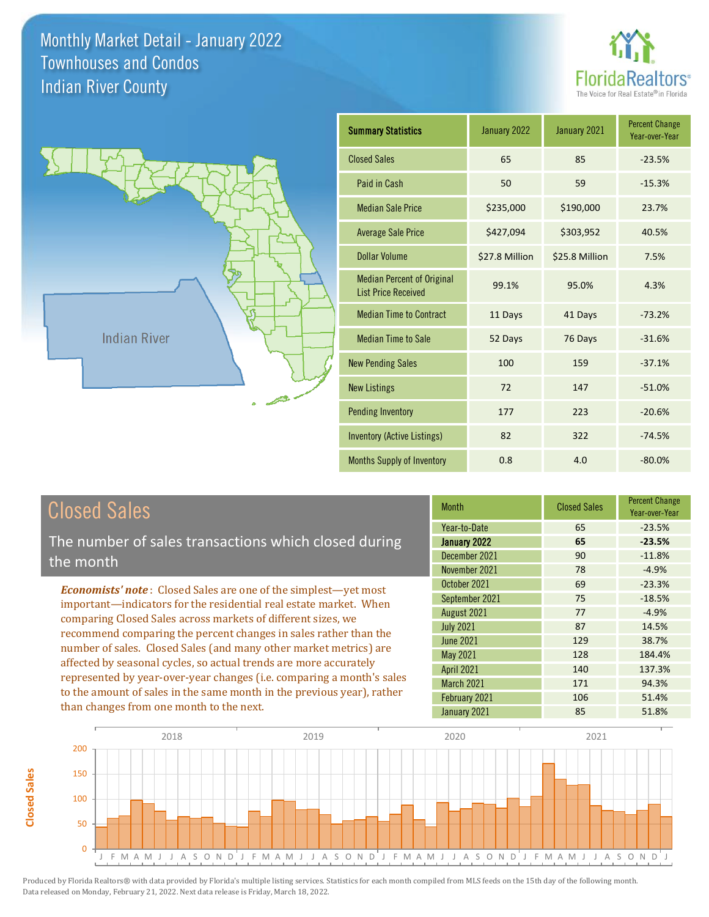



| <b>Summary Statistics</b>                                       | January 2022   | January 2021   | <b>Percent Change</b><br>Year-over-Year |
|-----------------------------------------------------------------|----------------|----------------|-----------------------------------------|
| <b>Closed Sales</b>                                             | 65             | 85             | $-23.5%$                                |
| Paid in Cash                                                    | 50             | 59             | $-15.3%$                                |
| <b>Median Sale Price</b>                                        | \$235,000      | \$190,000      | 23.7%                                   |
| <b>Average Sale Price</b>                                       | \$427,094      | \$303,952      | 40.5%                                   |
| Dollar Volume                                                   | \$27.8 Million | \$25.8 Million | 7.5%                                    |
| <b>Median Percent of Original</b><br><b>List Price Received</b> | 99.1%          | 95.0%          | 4.3%                                    |
| <b>Median Time to Contract</b>                                  | 11 Days        | 41 Days        | $-73.2%$                                |
| <b>Median Time to Sale</b>                                      | 52 Days        | 76 Days        | $-31.6%$                                |
| <b>New Pending Sales</b>                                        | 100            | 159            | $-37.1%$                                |
| <b>New Listings</b>                                             | 72             | 147            | $-51.0%$                                |
| <b>Pending Inventory</b>                                        | 177            | 223            | $-20.6%$                                |
| <b>Inventory (Active Listings)</b>                              | 82             | 322            | $-74.5%$                                |
| Months Supply of Inventory                                      | 0.8            | 4.0            | $-80.0%$                                |

**Closed Sales**

**Closed Sales** 

The number of sales transactions which closed during the month

*Economists' note* : Closed Sales are one of the simplest—yet most important—indicators for the residential real estate market. When comparing Closed Sales across markets of different sizes, we recommend comparing the percent changes in sales rather than the number of sales. Closed Sales (and many other market metrics) are affected by seasonal cycles, so actual trends are more accurately represented by year-over-year changes (i.e. comparing a month's sales to the amount of sales in the same month in the previous year), rather than changes from one month to the next.

| <b>Month</b>      | <b>Closed Sales</b> | <b>Percent Change</b><br>Year-over-Year |
|-------------------|---------------------|-----------------------------------------|
| Year-to-Date      | 65                  | $-23.5%$                                |
| January 2022      | 65                  | $-23.5%$                                |
| December 2021     | 90                  | $-11.8%$                                |
| November 2021     | 78                  | $-4.9%$                                 |
| October 2021      | 69                  | $-23.3%$                                |
| September 2021    | 75                  | $-18.5%$                                |
| August 2021       | 77                  | $-4.9%$                                 |
| <b>July 2021</b>  | 87                  | 14.5%                                   |
| <b>June 2021</b>  | 129                 | 38.7%                                   |
| May 2021          | 128                 | 184.4%                                  |
| <b>April 2021</b> | 140                 | 137.3%                                  |
| March 2021        | 171                 | 94.3%                                   |
| February 2021     | 106                 | 51.4%                                   |
| January 2021      | 85                  | 51.8%                                   |

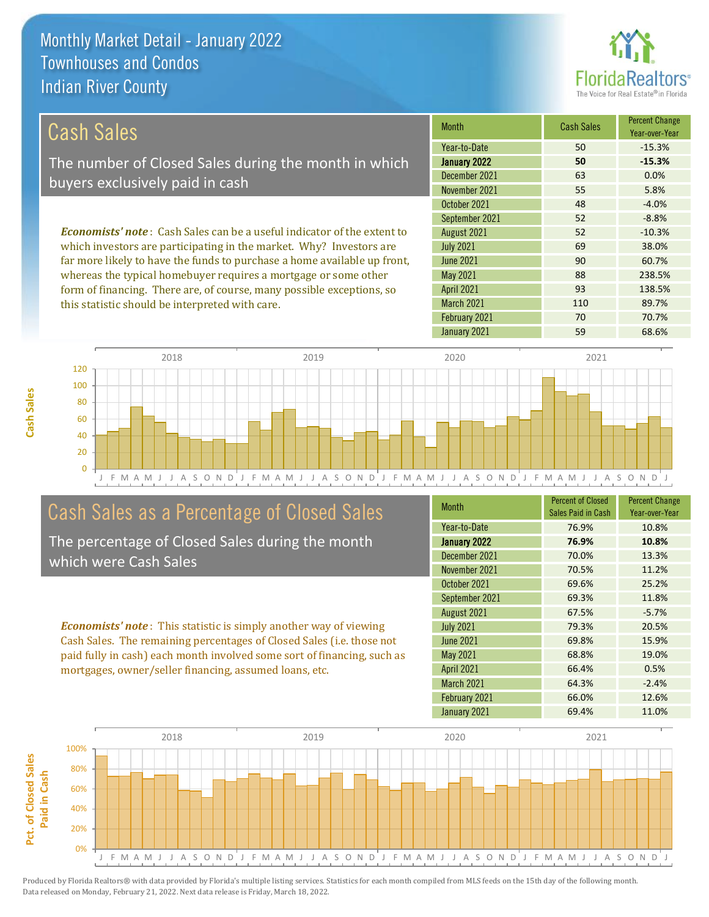this statistic should be interpreted with care.



93 138.5%

110 89.7%

#### October 2021 Month Cash Sales Percent Change Year-over-Year January 2022 **50 -15.3%** December 2021 63 0.0% November 2021 55 5.8% Year-to-Date 50 -15.3% 48 -4.0% September 2021 52 52 -8.8% June 2021 **90** 60.7% August 2021 52 -10.3% July 2021 69 38.0% *Economists' note* : Cash Sales can be a useful indicator of the extent to which investors are participating in the market. Why? Investors are far more likely to have the funds to purchase a home available up front, whereas the typical homebuyer requires a mortgage or some other May 2021 88 238.5% Cash Sales The number of Closed Sales during the month in which buyers exclusively paid in cash

March 2021

April 2021



## Cash Sales as a Percentage of Closed Sales

form of financing. There are, of course, many possible exceptions, so

The percentage of Closed Sales during the month which were Cash Sales

*Economists' note* : This statistic is simply another way of viewing Cash Sales. The remaining percentages of Closed Sales (i.e. those not paid fully in cash) each month involved some sort of financing, such as mortgages, owner/seller financing, assumed loans, etc.

| <b>Month</b>      | <b>Percent of Closed</b><br>Sales Paid in Cash | <b>Percent Change</b><br>Year-over-Year |
|-------------------|------------------------------------------------|-----------------------------------------|
| Year-to-Date      | 76.9%                                          | 10.8%                                   |
| January 2022      | 76.9%                                          | 10.8%                                   |
| December 2021     | 70.0%                                          | 13.3%                                   |
| November 2021     | 70.5%                                          | 11.2%                                   |
| October 2021      | 69.6%                                          | 25.2%                                   |
| September 2021    | 69.3%                                          | 11.8%                                   |
| August 2021       | 67.5%                                          | $-5.7%$                                 |
| <b>July 2021</b>  | 79.3%                                          | 20.5%                                   |
| June 2021         | 69.8%                                          | 15.9%                                   |
| <b>May 2021</b>   | 68.8%                                          | 19.0%                                   |
| <b>April 2021</b> | 66.4%                                          | 0.5%                                    |
| March 2021        | 64.3%                                          | $-2.4%$                                 |
| February 2021     | 66.0%                                          | 12.6%                                   |
| January 2021      | 69.4%                                          | 11.0%                                   |

February 2021 70 70 70.7%

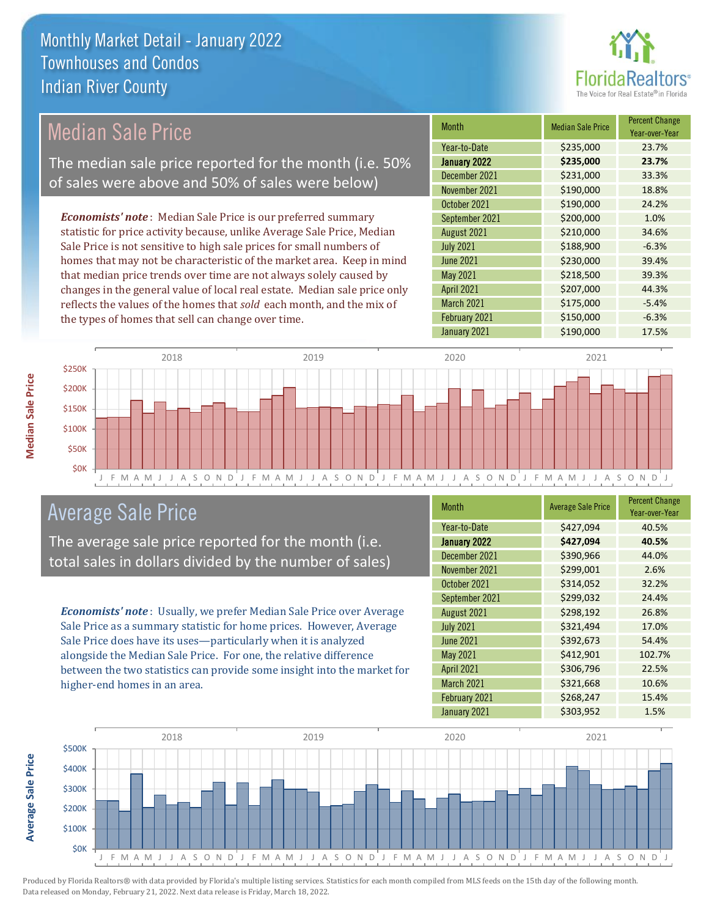

## Median Sale Price

The median sale price reported for the month (i.e. 50% of sales were above and 50% of sales were below)

*Economists' note* : Median Sale Price is our preferred summary statistic for price activity because, unlike Average Sale Price, Median Sale Price is not sensitive to high sale prices for small numbers of homes that may not be characteristic of the market area. Keep in mind that median price trends over time are not always solely caused by changes in the general value of local real estate. Median sale price only reflects the values of the homes that *sold* each month, and the mix of the types of homes that sell can change over time.

| <b>Month</b>      | <b>Median Sale Price</b> | <b>Percent Change</b><br>Year-over-Year |
|-------------------|--------------------------|-----------------------------------------|
| Year-to-Date      | \$235,000                | 23.7%                                   |
| January 2022      | \$235,000                | 23.7%                                   |
| December 2021     | \$231,000                | 33.3%                                   |
| November 2021     | \$190,000                | 18.8%                                   |
| October 2021      | \$190,000                | 24.2%                                   |
| September 2021    | \$200,000                | 1.0%                                    |
| August 2021       | \$210,000                | 34.6%                                   |
| <b>July 2021</b>  | \$188,900                | $-6.3%$                                 |
| <b>June 2021</b>  | \$230,000                | 39.4%                                   |
| May 2021          | \$218,500                | 39.3%                                   |
| <b>April 2021</b> | \$207,000                | 44.3%                                   |
| March 2021        | \$175,000                | $-5.4%$                                 |
| February 2021     | \$150,000                | $-6.3%$                                 |
| January 2021      | \$190,000                | 17.5%                                   |



## Average Sale Price

The average sale price reported for the month (i.e. total sales in dollars divided by the number of sales)

*Economists' note* : Usually, we prefer Median Sale Price over Average Sale Price as a summary statistic for home prices. However, Average Sale Price does have its uses—particularly when it is analyzed alongside the Median Sale Price. For one, the relative difference between the two statistics can provide some insight into the market for higher-end homes in an area.

| <b>Month</b>      | <b>Average Sale Price</b> | <b>Percent Change</b><br>Year-over-Year |
|-------------------|---------------------------|-----------------------------------------|
| Year-to-Date      | \$427,094                 | 40.5%                                   |
| January 2022      | \$427,094                 | 40.5%                                   |
| December 2021     | \$390,966                 | 44.0%                                   |
| November 2021     | \$299,001                 | 2.6%                                    |
| October 2021      | \$314,052                 | 32.2%                                   |
| September 2021    | \$299,032                 | 24.4%                                   |
| August 2021       | \$298,192                 | 26.8%                                   |
| <b>July 2021</b>  | \$321,494                 | 17.0%                                   |
| <b>June 2021</b>  | \$392,673                 | 54.4%                                   |
| <b>May 2021</b>   | \$412,901                 | 102.7%                                  |
| <b>April 2021</b> | \$306,796                 | 22.5%                                   |
| March 2021        | \$321,668                 | 10.6%                                   |
| February 2021     | \$268,247                 | 15.4%                                   |
| January 2021      | \$303,952                 | 1.5%                                    |

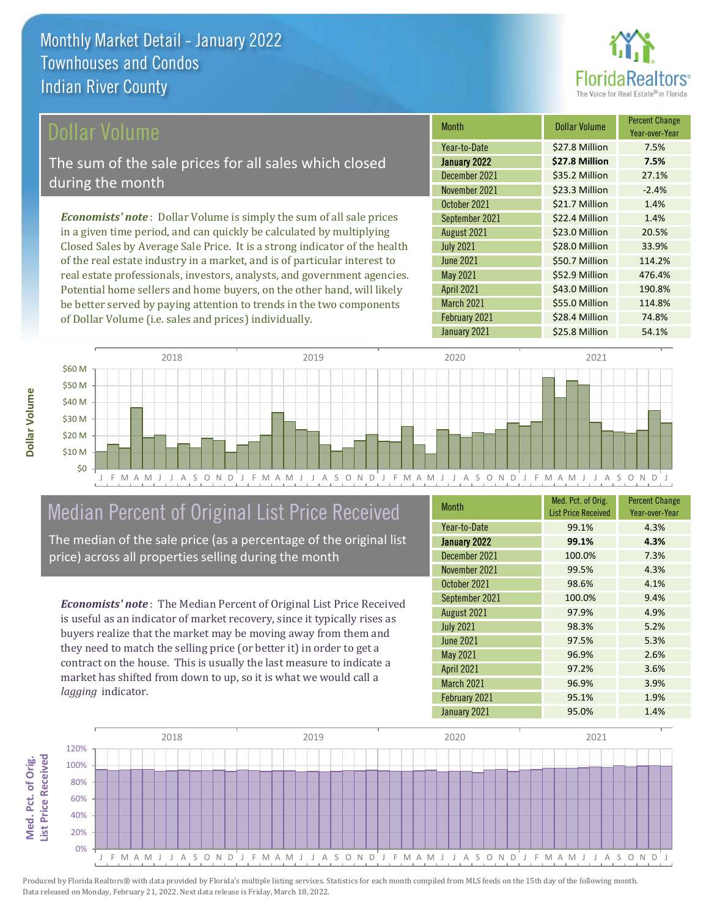

### ollar Volume

The sum of the sale prices for all sales which closed during the month

*Economists' note* : Dollar Volume is simply the sum of all sale prices in a given time period, and can quickly be calculated by multiplying Closed Sales by Average Sale Price. It is a strong indicator of the health of the real estate industry in a market, and is of particular interest to real estate professionals, investors, analysts, and government agencies. Potential home sellers and home buyers, on the other hand, will likely be better served by paying attention to trends in the two components of Dollar Volume (i.e. sales and prices) individually.

| <b>Month</b>      | <b>Dollar Volume</b> | <b>Percent Change</b><br>Year-over-Year |
|-------------------|----------------------|-----------------------------------------|
| Year-to-Date      | \$27.8 Million       | 7.5%                                    |
| January 2022      | \$27.8 Million       | 7.5%                                    |
| December 2021     | \$35.2 Million       | 27.1%                                   |
| November 2021     | \$23.3 Million       | $-2.4%$                                 |
| October 2021      | \$21.7 Million       | 1.4%                                    |
| September 2021    | \$22.4 Million       | 1.4%                                    |
| August 2021       | \$23.0 Million       | 20.5%                                   |
| <b>July 2021</b>  | \$28.0 Million       | 33.9%                                   |
| <b>June 2021</b>  | \$50.7 Million       | 114.2%                                  |
| <b>May 2021</b>   | \$52.9 Million       | 476.4%                                  |
| <b>April 2021</b> | \$43.0 Million       | 190.8%                                  |
| March 2021        | \$55.0 Million       | 114.8%                                  |
| February 2021     | \$28.4 Million       | 74.8%                                   |
| January 2021      | \$25.8 Million       | 54.1%                                   |



# Median Percent of Original List Price Received

The median of the sale price (as a percentage of the original list price) across all properties selling during the month

*Economists' note* : The Median Percent of Original List Price Received is useful as an indicator of market recovery, since it typically rises as buyers realize that the market may be moving away from them and they need to match the selling price (or better it) in order to get a contract on the house. This is usually the last measure to indicate a market has shifted from down to up, so it is what we would call a *lagging* indicator.

| <b>Month</b>      | Med. Pct. of Orig.<br><b>List Price Received</b> | <b>Percent Change</b><br>Year-over-Year |
|-------------------|--------------------------------------------------|-----------------------------------------|
| Year-to-Date      | 99.1%                                            | 4.3%                                    |
| January 2022      | 99.1%                                            | 4.3%                                    |
| December 2021     | 100.0%                                           | 7.3%                                    |
| November 2021     | 99.5%                                            | 4.3%                                    |
| October 2021      | 98.6%                                            | 4.1%                                    |
| September 2021    | 100.0%                                           | 9.4%                                    |
| August 2021       | 97.9%                                            | 4.9%                                    |
| <b>July 2021</b>  | 98.3%                                            | 5.2%                                    |
| <b>June 2021</b>  | 97.5%                                            | 5.3%                                    |
| <b>May 2021</b>   | 96.9%                                            | 2.6%                                    |
| <b>April 2021</b> | 97.2%                                            | 3.6%                                    |
| March 2021        | 96.9%                                            | 3.9%                                    |
| February 2021     | 95.1%                                            | 1.9%                                    |
| January 2021      | 95.0%                                            | 1.4%                                    |

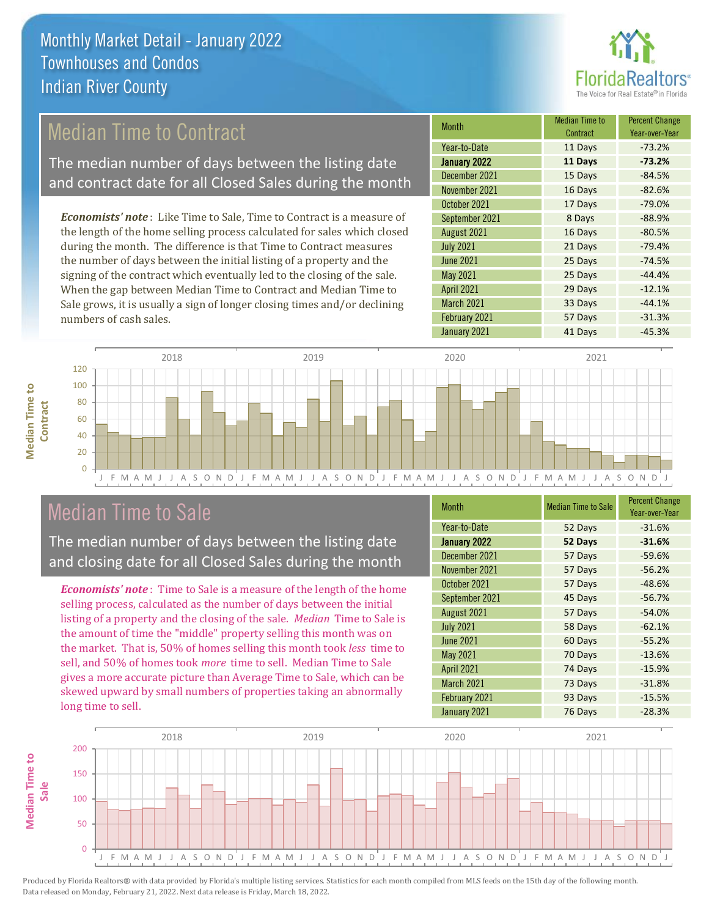

## Median Time to Contract

The median number of days between the listing date and contract date for all Closed Sales during the month

*Economists' note* : Like Time to Sale, Time to Contract is a measure of the length of the home selling process calculated for sales which closed during the month. The difference is that Time to Contract measures the number of days between the initial listing of a property and the signing of the contract which eventually led to the closing of the sale. When the gap between Median Time to Contract and Median Time to Sale grows, it is usually a sign of longer closing times and/or declining numbers of cash sales.

| <b>Month</b>      | <b>Median Time to</b><br>Contract | <b>Percent Change</b><br>Year-over-Year |
|-------------------|-----------------------------------|-----------------------------------------|
| Year-to-Date      | 11 Days                           | $-73.2%$                                |
| January 2022      | 11 Days                           | $-73.2%$                                |
| December 2021     | 15 Days                           | $-84.5%$                                |
| November 2021     | 16 Days                           | $-82.6%$                                |
| October 2021      | 17 Days                           | $-79.0%$                                |
| September 2021    | 8 Days                            | $-88.9%$                                |
| August 2021       | 16 Days                           | $-80.5%$                                |
| <b>July 2021</b>  | 21 Days                           | $-79.4%$                                |
| <b>June 2021</b>  | 25 Days                           | $-74.5%$                                |
| <b>May 2021</b>   | 25 Days                           | $-44.4%$                                |
| <b>April 2021</b> | 29 Days                           | $-12.1%$                                |
| March 2021        | 33 Days                           | $-44.1%$                                |
| February 2021     | 57 Days                           | $-31.3%$                                |
| January 2021      | 41 Days                           | $-45.3%$                                |



## Median Time to Sale

**Median Time to Contract**

**Median Time to** 

The median number of days between the listing date and closing date for all Closed Sales during the month

*Economists' note* : Time to Sale is a measure of the length of the home selling process, calculated as the number of days between the initial listing of a property and the closing of the sale. *Median* Time to Sale is the amount of time the "middle" property selling this month was on the market. That is, 50% of homes selling this month took *less* time to sell, and 50% of homes took *more* time to sell. Median Time to Sale gives a more accurate picture than Average Time to Sale, which can be skewed upward by small numbers of properties taking an abnormally long time to sell.

| Month             | <b>Median Time to Sale</b> | <b>Percent Change</b><br>Year-over-Year |
|-------------------|----------------------------|-----------------------------------------|
| Year-to-Date      | 52 Days                    | $-31.6%$                                |
| January 2022      | 52 Days                    | $-31.6%$                                |
| December 2021     | 57 Days                    | $-59.6%$                                |
| November 2021     | 57 Days                    | $-56.2%$                                |
| October 2021      | 57 Days                    | $-48.6%$                                |
| September 2021    | 45 Days                    | $-56.7%$                                |
| August 2021       | 57 Days                    | $-54.0%$                                |
| <b>July 2021</b>  | 58 Days                    | $-62.1%$                                |
| <b>June 2021</b>  | 60 Days                    | $-55.2%$                                |
| <b>May 2021</b>   | 70 Days                    | $-13.6%$                                |
| <b>April 2021</b> | 74 Days                    | $-15.9%$                                |
| March 2021        | 73 Days                    | $-31.8%$                                |
| February 2021     | 93 Days                    | $-15.5%$                                |
| January 2021      | 76 Days                    | $-28.3%$                                |

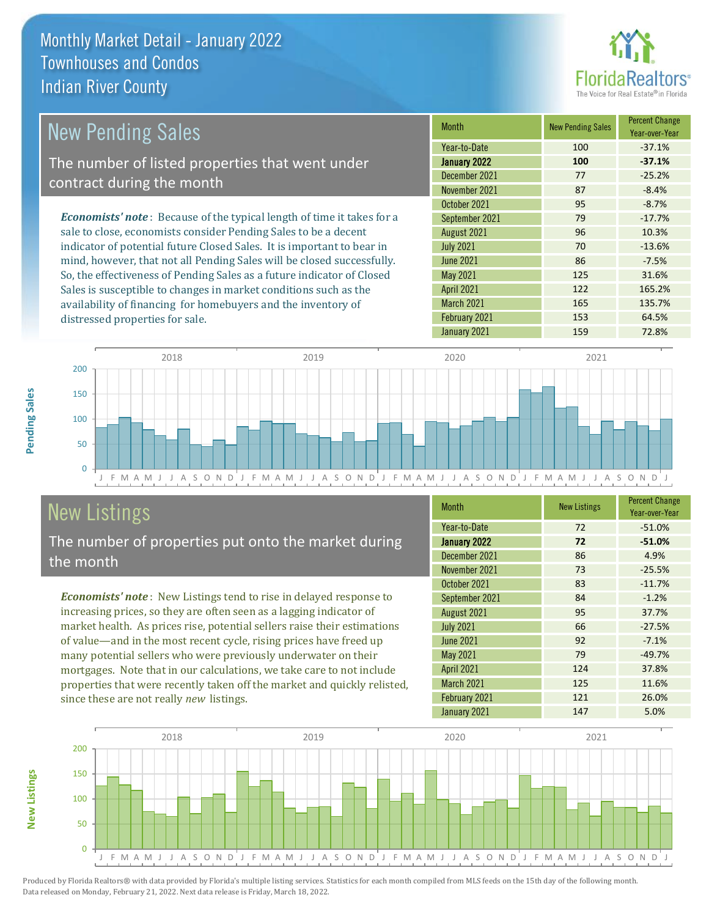

| New Pending Sales                                                              | <b>Month</b>      | <b>New Pending Sales</b> | <b>Percent Change</b><br>Year-over-Year |
|--------------------------------------------------------------------------------|-------------------|--------------------------|-----------------------------------------|
|                                                                                | Year-to-Date      | 100                      | $-37.1%$                                |
| The number of listed properties that went under                                | January 2022      | 100                      | $-37.1%$                                |
| contract during the month                                                      | December 2021     | 77                       | $-25.2%$                                |
|                                                                                | November 2021     | 87                       | $-8.4%$                                 |
|                                                                                | October 2021      | 95                       | $-8.7%$                                 |
| <b>Economists' note</b> : Because of the typical length of time it takes for a | September 2021    | 79                       | $-17.7%$                                |
| sale to close, economists consider Pending Sales to be a decent                | August 2021       | 96                       | 10.3%                                   |
| indicator of potential future Closed Sales. It is important to bear in         | <b>July 2021</b>  | 70                       | $-13.6%$                                |
| mind, however, that not all Pending Sales will be closed successfully.         | <b>June 2021</b>  | 86                       | $-7.5%$                                 |
| So, the effectiveness of Pending Sales as a future indicator of Closed         | May 2021          | 125                      | 31.6%                                   |
| Sales is susceptible to changes in market conditions such as the               | <b>April 2021</b> | 122                      | 165.2%                                  |



## New Listings

distressed properties for sale.

The number of properties put onto the market during the month

availability of financing for homebuyers and the inventory of

*Economists' note* : New Listings tend to rise in delayed response to increasing prices, so they are often seen as a lagging indicator of market health. As prices rise, potential sellers raise their estimations of value—and in the most recent cycle, rising prices have freed up many potential sellers who were previously underwater on their mortgages. Note that in our calculations, we take care to not include properties that were recently taken off the market and quickly relisted, since these are not really *new* listings.

| <b>Month</b>      | <b>New Listings</b> | <b>Percent Change</b><br>Year-over-Year |
|-------------------|---------------------|-----------------------------------------|
| Year-to-Date      | 72                  | $-51.0%$                                |
| January 2022      | 72                  | $-51.0%$                                |
| December 2021     | 86                  | 4.9%                                    |
| November 2021     | 73                  | $-25.5%$                                |
| October 2021      | 83                  | $-11.7%$                                |
| September 2021    | 84                  | $-1.2%$                                 |
| August 2021       | 95                  | 37.7%                                   |
| <b>July 2021</b>  | 66                  | $-27.5%$                                |
| <b>June 2021</b>  | 92                  | $-7.1%$                                 |
| May 2021          | 79                  | $-49.7%$                                |
| <b>April 2021</b> | 124                 | 37.8%                                   |
| March 2021        | 125                 | 11.6%                                   |
| February 2021     | 121                 | 26.0%                                   |
| January 2021      | 147                 | 5.0%                                    |

March 2021 165 135.7% February 2021 153 64.5%



Produced by Florida Realtors® with data provided by Florida's multiple listing services. Statistics for each month compiled from MLS feeds on the 15th day of the following month. Data released on Monday, February 21, 2022. Next data release is Friday, March 18, 2022.

**New Listings**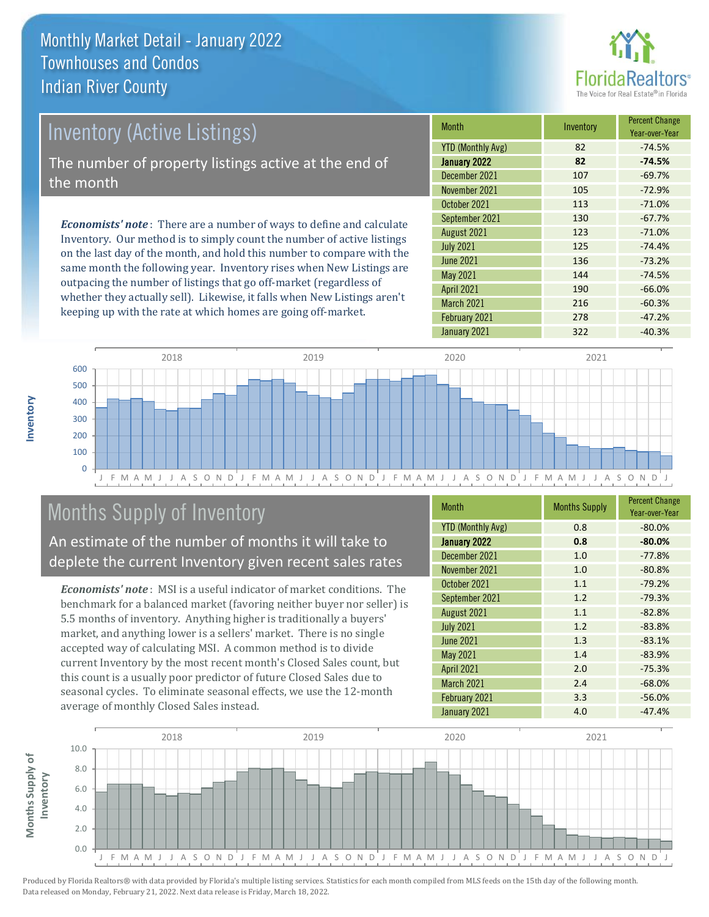

# *Economists' note* : There are a number of ways to define and calculate Inventory (Active Listings) The number of property listings active at the end of the month

Inventory. Our method is to simply count the number of active listings on the last day of the month, and hold this number to compare with the same month the following year. Inventory rises when New Listings are outpacing the number of listings that go off-market (regardless of whether they actually sell). Likewise, it falls when New Listings aren't keeping up with the rate at which homes are going off-market.

| <b>Month</b>             | Inventory | <b>Percent Change</b><br>Year-over-Year |
|--------------------------|-----------|-----------------------------------------|
| <b>YTD (Monthly Avg)</b> | 82        | $-74.5%$                                |
| January 2022             | 82        | $-74.5%$                                |
| December 2021            | 107       | $-69.7%$                                |
| November 2021            | 105       | $-72.9%$                                |
| October 2021             | 113       | $-71.0%$                                |
| September 2021           | 130       | $-67.7%$                                |
| August 2021              | 123       | $-71.0%$                                |
| <b>July 2021</b>         | 125       | $-74.4%$                                |
| <b>June 2021</b>         | 136       | $-73.2%$                                |
| May 2021                 | 144       | $-74.5%$                                |
| <b>April 2021</b>        | 190       | $-66.0%$                                |
| March 2021               | 216       | $-60.3%$                                |
| February 2021            | 278       | $-47.2%$                                |
| January 2021             | 322       | $-40.3%$                                |



## Months Supply of Inventory

An estimate of the number of months it will take to deplete the current Inventory given recent sales rates

*Economists' note* : MSI is a useful indicator of market conditions. The benchmark for a balanced market (favoring neither buyer nor seller) is 5.5 months of inventory. Anything higher is traditionally a buyers' market, and anything lower is a sellers' market. There is no single accepted way of calculating MSI. A common method is to divide current Inventory by the most recent month's Closed Sales count, but this count is a usually poor predictor of future Closed Sales due to seasonal cycles. To eliminate seasonal effects, we use the 12-month average of monthly Closed Sales instead.

| <b>Month</b>             | <b>Months Supply</b> | <b>Percent Change</b><br>Year-over-Year |
|--------------------------|----------------------|-----------------------------------------|
| <b>YTD (Monthly Avg)</b> | 0.8                  | $-80.0%$                                |
| January 2022             | 0.8                  | $-80.0%$                                |
| December 2021            | 1.0                  | $-77.8%$                                |
| November 2021            | 1.0                  | $-80.8%$                                |
| October 2021             | 1.1                  | $-79.2%$                                |
| September 2021           | 1.2                  | $-79.3%$                                |
| August 2021              | 1.1                  | $-82.8%$                                |
| <b>July 2021</b>         | 1.2                  | $-83.8%$                                |
| <b>June 2021</b>         | 1.3                  | $-83.1%$                                |
| <b>May 2021</b>          | 1.4                  | $-83.9%$                                |
| <b>April 2021</b>        | 2.0                  | $-75.3%$                                |
| March 2021               | 2.4                  | $-68.0%$                                |
| February 2021            | 3.3                  | $-56.0%$                                |
| January 2021             | 4.0                  | $-47.4%$                                |

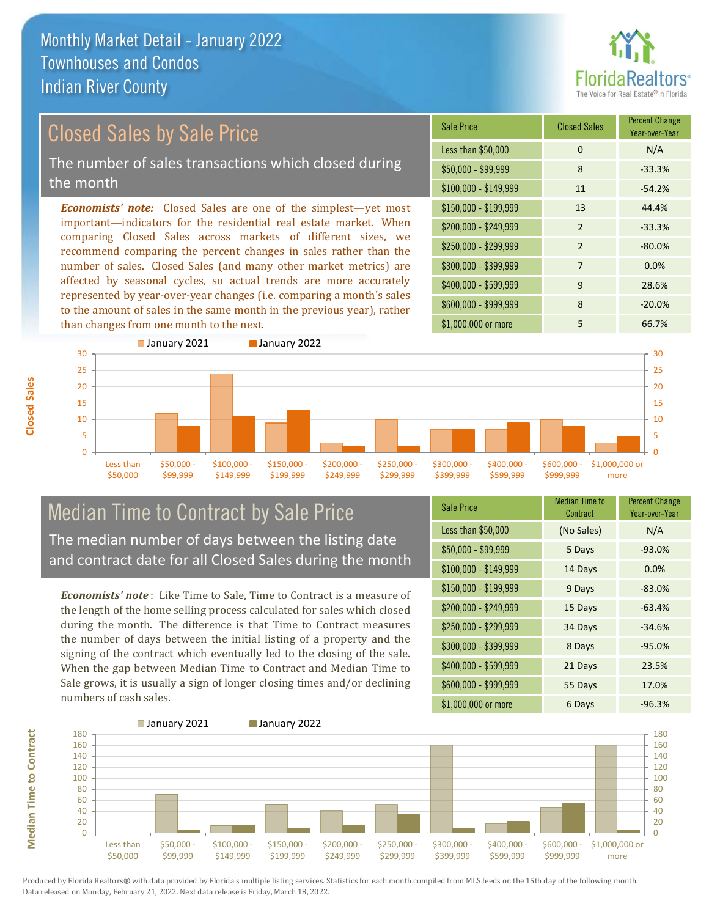than changes from one month to the next.



Year-over-Year

#### *Economists' note:* Closed Sales are one of the simplest—yet most important—indicators for the residential real estate market. When comparing Closed Sales across markets of different sizes, we recommend comparing the percent changes in sales rather than the number of sales. Closed Sales (and many other market metrics) are affected by seasonal cycles, so actual trends are more accurately represented by year-over-year changes (i.e. comparing a month's sales  $$250,000 - $299,999$  2 -80.0% \$300,000 - \$399,999 7 0.0% \$400,000 - \$599,999 9 28.6% \$150,000 - \$199,999 13 44.4%  $$200.000 - $249.999$  2  $-33.3\%$  $$100,000 - $149,999$  11  $-54.2\%$ Sale Price Closed Sales Percent Change Less than \$50,000 0 0 N/A  $$50,000 - $99,999$  8 -33.3% Closed Sales by Sale Price The number of sales transactions which closed during the month



## Median Time to Contract by Sale Price The median number of days between the listing date and contract date for all Closed Sales during the month

to the amount of sales in the same month in the previous year), rather

*Economists' note* : Like Time to Sale, Time to Contract is a measure of the length of the home selling process calculated for sales which closed during the month. The difference is that Time to Contract measures the number of days between the initial listing of a property and the signing of the contract which eventually led to the closing of the sale. When the gap between Median Time to Contract and Median Time to Sale grows, it is usually a sign of longer closing times and/or declining numbers of cash sales.

| <b>Sale Price</b>     | <b>Median Time to</b><br>Contract | <b>Percent Change</b><br>Year-over-Year |
|-----------------------|-----------------------------------|-----------------------------------------|
| Less than \$50,000    | (No Sales)                        | N/A                                     |
| $$50,000 - $99,999$   | 5 Days                            | $-93.0%$                                |
| $$100,000 - $149,999$ | 14 Days                           | 0.0%                                    |
| $$150,000 - $199,999$ | 9 Days                            | $-83.0%$                                |
| \$200,000 - \$249,999 | 15 Days                           | $-63.4%$                                |
| \$250,000 - \$299,999 | 34 Days                           | $-34.6%$                                |
| \$300,000 - \$399,999 | 8 Days                            | $-95.0%$                                |
| \$400,000 - \$599,999 | 21 Days                           | 23.5%                                   |
| \$600,000 - \$999,999 | 55 Days                           | 17.0%                                   |
| \$1,000,000 or more   | 6 Days                            | $-96.3%$                                |

\$1,000,000 or more 5 66.7%

\$600,000 - \$999,999 8 -20.0%

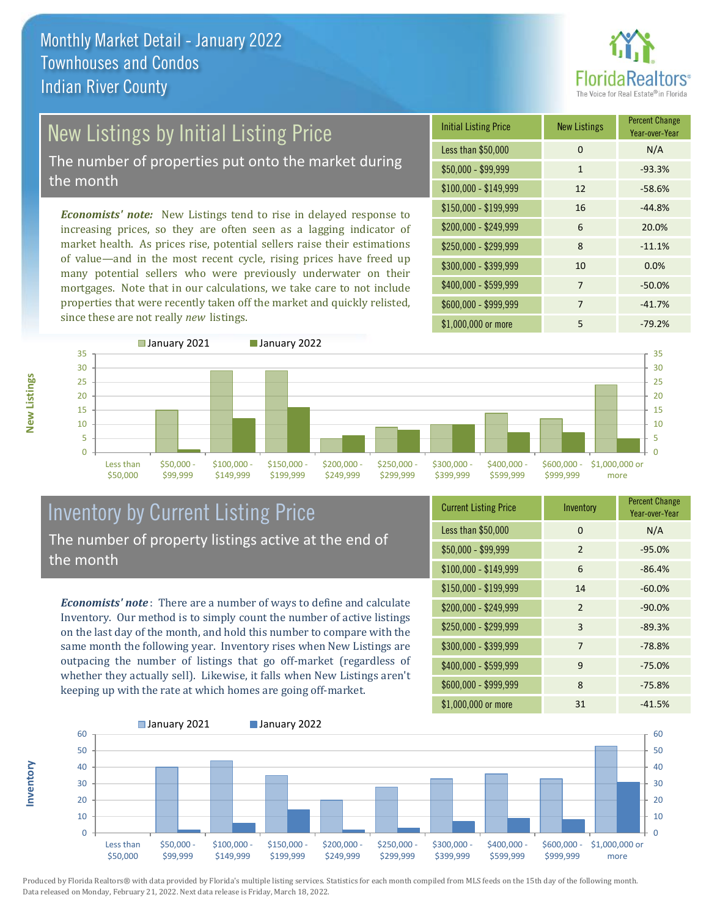

# New Listings by Initial Listing Price

The number of properties put onto the market during the month

*Economists' note:* New Listings tend to rise in delayed response to increasing prices, so they are often seen as a lagging indicator of market health. As prices rise, potential sellers raise their estimations of value—and in the most recent cycle, rising prices have freed up many potential sellers who were previously underwater on their mortgages. Note that in our calculations, we take care to not include properties that were recently taken off the market and quickly relisted, since these are not really *new* listings.

| <b>Initial Listing Price</b> | <b>New Listings</b> | <b>Percent Change</b><br>Year-over-Year |
|------------------------------|---------------------|-----------------------------------------|
| Less than \$50,000           | $\Omega$            | N/A                                     |
| $$50,000 - $99,999$          | $\mathbf{1}$        | $-93.3%$                                |
| $$100,000 - $149,999$        | 12                  | $-58.6%$                                |
| $$150,000 - $199,999$        | 16                  | $-44.8%$                                |
| \$200,000 - \$249,999        | 6                   | 20.0%                                   |
| \$250,000 - \$299,999        | 8                   | $-11.1%$                                |
| \$300,000 - \$399,999        | 10                  | 0.0%                                    |
| \$400,000 - \$599,999        | 7                   | $-50.0%$                                |
| \$600,000 - \$999,999        | 7                   | $-41.7%$                                |
| \$1,000,000 or more          | 5                   | $-79.2%$                                |



## Inventory by Current Listing Price The number of property listings active at the end of the month

*Economists' note* : There are a number of ways to define and calculate Inventory. Our method is to simply count the number of active listings on the last day of the month, and hold this number to compare with the same month the following year. Inventory rises when New Listings are outpacing the number of listings that go off-market (regardless of whether they actually sell). Likewise, it falls when New Listings aren't keeping up with the rate at which homes are going off-market.

| <b>Current Listing Price</b> | Inventory     | <b>Percent Change</b><br>Year-over-Year |
|------------------------------|---------------|-----------------------------------------|
| Less than \$50,000           | $\Omega$      | N/A                                     |
| $$50,000 - $99,999$          | 2             | $-95.0%$                                |
| $$100,000 - $149,999$        | 6             | $-86.4%$                                |
| $$150,000 - $199,999$        | 14            | $-60.0%$                                |
| \$200,000 - \$249,999        | $\mathcal{P}$ | $-90.0%$                                |
| \$250,000 - \$299,999        | 3             | $-89.3%$                                |
| \$300,000 - \$399,999        | 7             | $-78.8%$                                |
| \$400,000 - \$599,999        | 9             | $-75.0%$                                |
| \$600,000 - \$999,999        | 8             | $-75.8%$                                |
| \$1,000,000 or more          | 31            | $-41.5%$                                |



Produced by Florida Realtors® with data provided by Florida's multiple listing services. Statistics for each month compiled from MLS feeds on the 15th day of the following month. Data released on Monday, February 21, 2022. Next data release is Friday, March 18, 2022.

**Inventory**